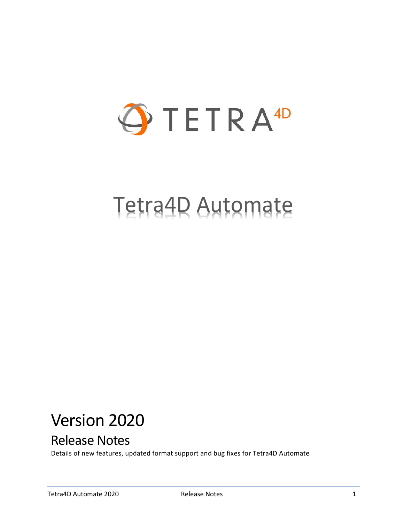

# Tetra4D Automate

## Version 2020

## Release Notes

Details of new features, updated format support and bug fixes for Tetra4D Automate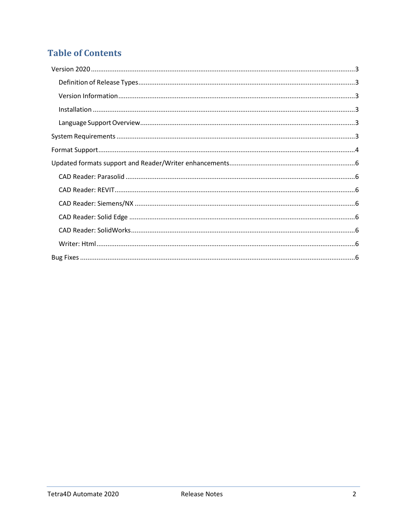## **Table of Contents**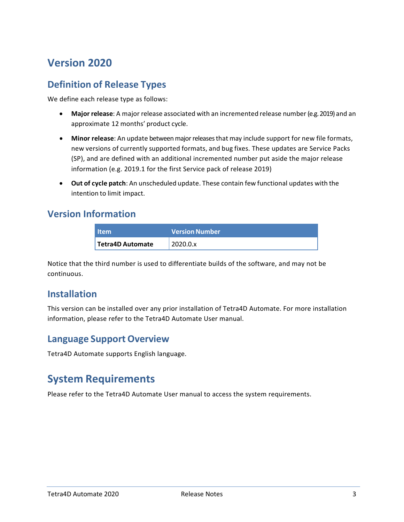## <span id="page-2-0"></span>**Version 2020**

## <span id="page-2-1"></span>**Definition of Release Types**

We define each release type as follows:

- **Major release**: A major release associated with an incremented release number (e.g. 2019) and an approximate 12 months' product cycle.
- **Minor release**: An update betweenmajorreleasesthat may include support for new file formats, new versions of currently supported formats, and bug fixes. These updates are Service Packs (SP), and are defined with an additional incremented number put aside the major release information (e.g. 2019.1 for the first Service pack of release 2019)
- **Out of cycle patch**: An unscheduled update. These contain few functional updates with the intention to limit impact.

#### <span id="page-2-2"></span>**Version Information**

| <b>Item</b>             | <b>Version Number</b> |
|-------------------------|-----------------------|
| <b>Tetra4D Automate</b> | 2020.0.x              |

Notice that the third number is used to differentiate builds of the software, and may not be continuous.

### <span id="page-2-3"></span>**Installation**

This version can be installed over any prior installation of Tetra4D Automate. For more installation information, please refer to the Tetra4D Automate User manual.

### <span id="page-2-4"></span>**Language Support Overview**

Tetra4D Automate supports English language.

## <span id="page-2-5"></span>**System Requirements**

Please refer to the Tetra4D Automate User manual to access the system requirements.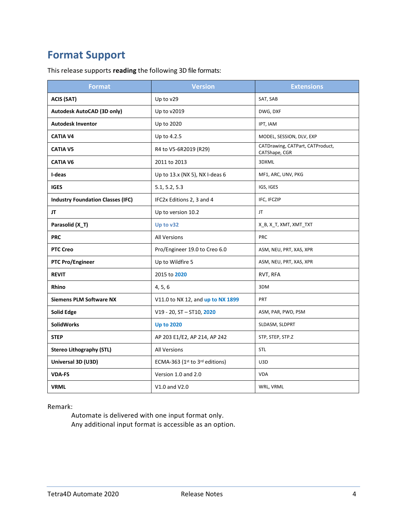## <span id="page-3-0"></span>**Format Support**

This release supports **reading** the following 3D file formats:

| <b>Format</b>                            | <b>Version</b>                    | <b>Extensions</b>                                 |
|------------------------------------------|-----------------------------------|---------------------------------------------------|
| <b>ACIS (SAT)</b>                        | Up to v29                         | SAT, SAB                                          |
| Autodesk AutoCAD (3D only)               | Up to v2019                       | DWG, DXF                                          |
| <b>Autodesk Inventor</b>                 | Up to 2020                        | IPT, IAM                                          |
| <b>CATIA V4</b>                          | Up to 4.2.5                       | MODEL, SESSION, DLV, EXP                          |
| <b>CATIA V5</b>                          | R4 to V5-6R2019 (R29)             | CATDrawing, CATPart, CATProduct,<br>CATShape, CGR |
| <b>CATIA V6</b>                          | 2011 to 2013                      | 3DXML                                             |
| I-deas                                   | Up to 13.x (NX 5), NX I-deas 6    | MF1, ARC, UNV, PKG                                |
| <b>IGES</b>                              | 5.1, 5.2, 5.3                     | IGS, IGES                                         |
| <b>Industry Foundation Classes (IFC)</b> | IFC2x Editions 2, 3 and 4         | IFC, IFCZIP                                       |
| JT                                       | Up to version 10.2                | JT.                                               |
| Parasolid (X_T)                          | Up to v32                         | X_B, X_T, XMT, XMT_TXT                            |
| <b>PRC</b>                               | <b>All Versions</b>               | <b>PRC</b>                                        |
| <b>PTC Creo</b>                          | Pro/Engineer 19.0 to Creo 6.0     | ASM, NEU, PRT, XAS, XPR                           |
| <b>PTC Pro/Engineer</b>                  | Up to Wildfire 5                  | ASM, NEU, PRT, XAS, XPR                           |
| <b>REVIT</b>                             | 2015 to 2020                      | RVT, RFA                                          |
| Rhino                                    | 4, 5, 6                           | 3DM                                               |
| <b>Siemens PLM Software NX</b>           | V11.0 to NX 12, and up to NX 1899 | PRT                                               |
| <b>Solid Edge</b>                        | V19 - 20, ST - ST10, 2020         | ASM, PAR, PWD, PSM                                |
| <b>SolidWorks</b>                        | <b>Up to 2020</b>                 | SLDASM, SLDPRT                                    |
| <b>STEP</b>                              | AP 203 E1/E2, AP 214, AP 242      | STP, STEP, STP.Z                                  |
| <b>Stereo Lithography (STL)</b>          | <b>All Versions</b>               | <b>STL</b>                                        |
| Universal 3D (U3D)                       | ECMA-363 (1st to 3rd editions)    | U3D                                               |
| <b>VDA-FS</b>                            | Version 1.0 and 2.0               | <b>VDA</b>                                        |
| <b>VRML</b>                              | V1.0 and V2.0                     | WRL, VRML                                         |

#### Remark:

Automate is delivered with one input format only. Any additional input format is accessible as an option.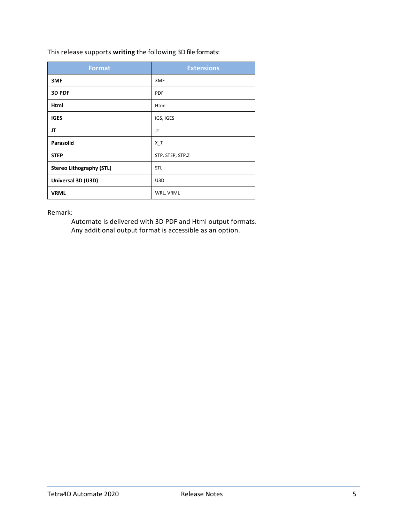This release supports **writing** the following 3D file formats:

| <b>Format</b>                   | <b>Extensions</b> |
|---------------------------------|-------------------|
| 3MF                             | 3MF               |
| 3D PDF                          | <b>PDF</b>        |
| Html                            | Html              |
| <b>IGES</b>                     | IGS, IGES         |
| JT                              | JT                |
| <b>Parasolid</b>                | $X_T$             |
| <b>STEP</b>                     | STP, STEP, STP.Z  |
| <b>Stereo Lithography (STL)</b> | <b>STL</b>        |
| Universal 3D (U3D)              | U3D               |
| <b>VRML</b>                     | WRL, VRML         |

Remark:

Automate is delivered with 3D PDF and Html output formats. Any additional output format is accessible as an option.